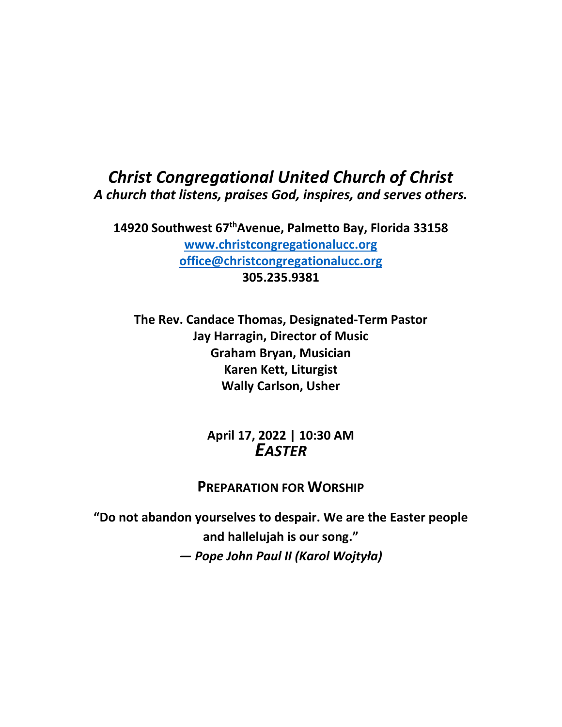# *Christ Congregational United Church of Christ A church that listens, praises God, inspires, and serves others.*

**14920 Southwest 67thAvenue, Palmetto Bay, Florida 33158 [www.christcongregationalucc.org](http://www.christcongregationalucc.org/) [office@christcongregationalucc.org](mailto:office@christcongregationalucc.org) 305.235.9381**

**The Rev. Candace Thomas, Designated-Term Pastor Jay Harragin, Director of Music Graham Bryan, Musician Karen Kett, Liturgist Wally Carlson, Usher**

> **April 17, 2022 | 10:30 AM** *EASTER*

## **PREPARATION FOR WORSHIP**

**"Do not abandon yourselves to despair. We are the Easter people and hallelujah is our song."** *― Pope John Paul II (Karol Wojtyła)*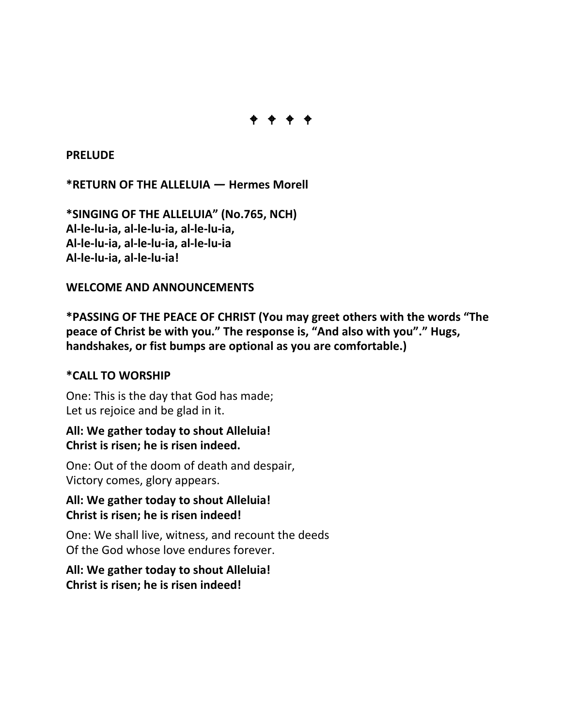

**PRELUDE** 

**\*RETURN OF THE ALLELUIA** *―* **Hermes Morell**

**\*SINGING OF THE ALLELUIA" (No.765, NCH) Al-le-lu-ia, al-le-lu-ia, al-le-lu-ia, Al-le-lu-ia, al-le-lu-ia, al-le-lu-ia Al-le-lu-ia, al-le-lu-ia!**

#### **WELCOME AND ANNOUNCEMENTS**

**\*PASSING OF THE PEACE OF CHRIST (You may greet others with the words "The peace of Christ be with you." The response is, "And also with you"." Hugs, handshakes, or fist bumps are optional as you are comfortable.)**

## **\*CALL TO WORSHIP**

One: This is the day that God has made; Let us rejoice and be glad in it.

## **All: We gather today to shout Alleluia! Christ is risen; he is risen indeed.**

One: Out of the doom of death and despair, Victory comes, glory appears.

#### **All: We gather today to shout Alleluia! Christ is risen; he is risen indeed!**

One: We shall live, witness, and recount the deeds Of the God whose love endures forever.

## **All: We gather today to shout Alleluia! Christ is risen; he is risen indeed!**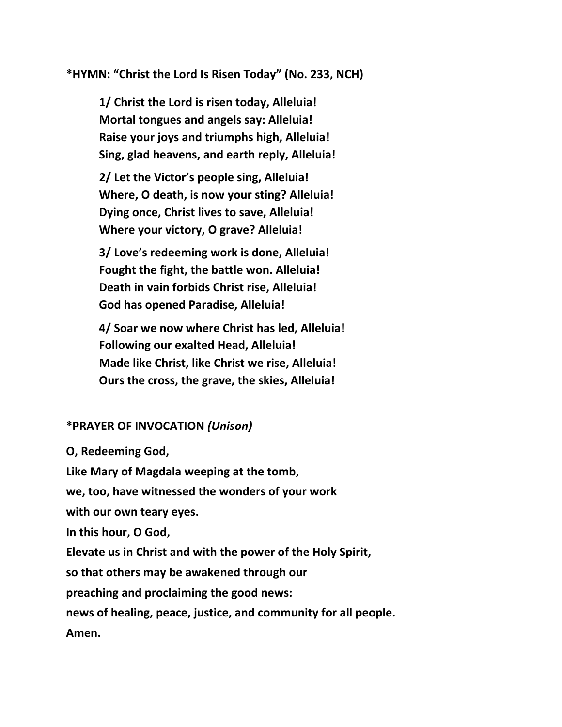**\*HYMN: "Christ the Lord Is Risen Today" (No. 233, NCH)**

**1/ Christ the Lord is risen today, Alleluia! Mortal tongues and angels say: Alleluia! Raise your joys and triumphs high, Alleluia! Sing, glad heavens, and earth reply, Alleluia!**

**2/ Let the Victor's people sing, Alleluia! Where, O death, is now your sting? Alleluia! Dying once, Christ lives to save, Alleluia! Where your victory, O grave? Alleluia!**

**3/ Love's redeeming work is done, Alleluia! Fought the fight, the battle won. Alleluia! Death in vain forbids Christ rise, Alleluia! God has opened Paradise, Alleluia!**

**4/ Soar we now where Christ has led, Alleluia! Following our exalted Head, Alleluia! Made like Christ, like Christ we rise, Alleluia! Ours the cross, the grave, the skies, Alleluia!**

## **\*PRAYER OF INVOCATION** *(Unison)*

**O, Redeeming God,**

**Like Mary of Magdala weeping at the tomb,**

**we, too, have witnessed the wonders of your work**

**with our own teary eyes.**

**In this hour, O God,**

**Elevate us in Christ and with the power of the Holy Spirit,**

**so that others may be awakened through our**

**preaching and proclaiming the good news:**

**news of healing, peace, justice, and community for all people.**

**Amen.**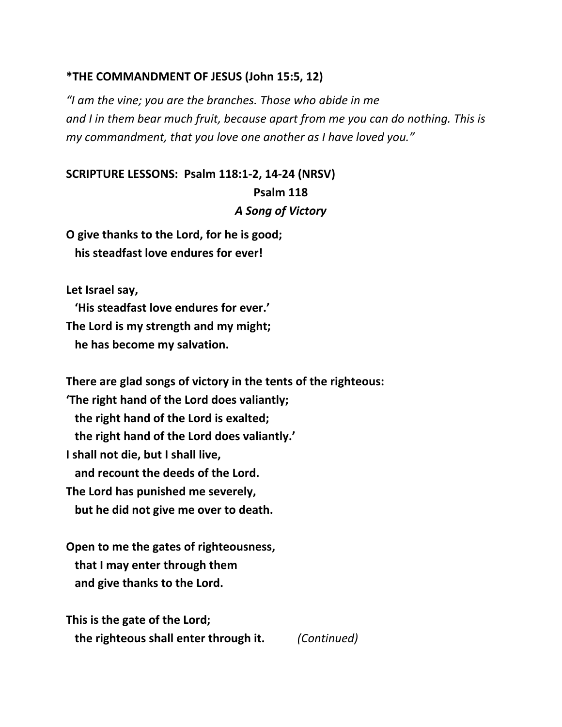#### **\*THE COMMANDMENT OF JESUS (John 15:5, 12)**

*"I am the vine; you are the branches. Those who abide in me and I in them bear much fruit, because apart from me you can do nothing. This is my commandment, that you love one another as I have loved you."*

# **SCRIPTURE LESSONS: Psalm 118:1-2, 14-24 (NRSV) Psalm 118** *A Song of Victory*

**O give thanks to the Lord, for he is good; his steadfast love endures for ever!**

**Let Israel say,**

 **'His steadfast love endures for ever.' The Lord is my strength and my might; he has become my salvation.**

**There are glad songs of victory in the tents of the righteous: 'The right hand of the Lord does valiantly;**

 **the right hand of the Lord is exalted; the right hand of the Lord does valiantly.' I shall not die, but I shall live, and recount the deeds of the Lord. The Lord has punished me severely, but he did not give me over to death.**

**Open to me the gates of righteousness, that I may enter through them and give thanks to the Lord.**

**This is the gate of the Lord; the righteous shall enter through it.** *(Continued)*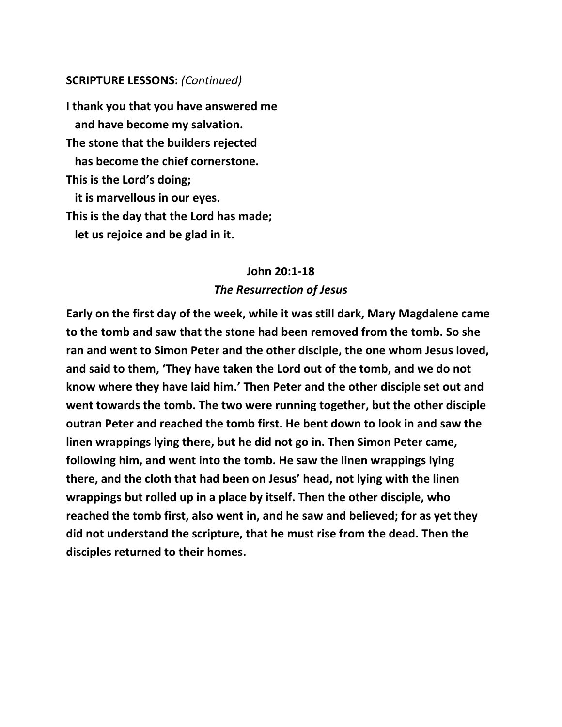#### **SCRIPTURE LESSONS:** *(Continued)*

**I thank you that you have answered me and have become my salvation. The stone that the builders rejected has become the chief cornerstone. This is the Lord's doing; it is marvellous in our eyes. This is the day that the Lord has made; let us rejoice and be glad in it.**

# **John 20:1-18** *The Resurrection of Jesus*

**Early on the first day of the week, while it was still dark, Mary Magdalene came to the tomb and saw that the stone had been removed from the tomb. So she ran and went to Simon Peter and the other disciple, the one whom Jesus loved, and said to them, 'They have taken the Lord out of the tomb, and we do not know where they have laid him.' Then Peter and the other disciple set out and went towards the tomb. The two were running together, but the other disciple outran Peter and reached the tomb first. He bent down to look in and saw the linen wrappings lying there, but he did not go in. Then Simon Peter came, following him, and went into the tomb. He saw the linen wrappings lying there, and the cloth that had been on Jesus' head, not lying with the linen wrappings but rolled up in a place by itself. Then the other disciple, who reached the tomb first, also went in, and he saw and believed; for as yet they did not understand the scripture, that he must rise from the dead. Then the disciples returned to their homes.**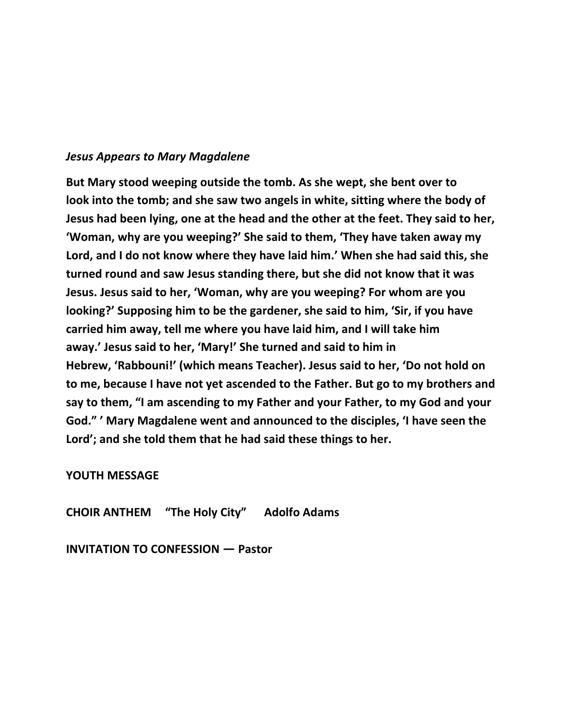#### *Jesus Appears to Mary Magdalene*

**But Mary stood weeping outside the tomb. As she wept, she bent over to look into the tomb; and she saw two angels in white, sitting where the body of Jesus had been lying, one at the head and the other at the feet. They said to her, 'Woman, why are you weeping?' She said to them, 'They have taken away my Lord, and I do not know where they have laid him.' When she had said this, she turned round and saw Jesus standing there, but she did not know that it was Jesus. Jesus said to her, 'Woman, why are you weeping? For whom are you looking?' Supposing him to be the gardener, she said to him, 'Sir, if you have carried him away, tell me where you have laid him, and I will take him away.' Jesus said to her, 'Mary!' She turned and said to him in Hebrew, 'Rabbouni!' (which means Teacher). Jesus said to her, 'Do not hold on to me, because I have not yet ascended to the Father. But go to my brothers and say to them, "I am ascending to my Father and your Father, to my God and your God." ' Mary Magdalene went and announced to the disciples, 'I have seen the Lord'; and she told them that he had said these things to her.**

#### **YOUTH MESSAGE**

**CHOIR ANTHEM "The Holy City" Adolfo Adams**

**INVITATION TO CONFESSION** *―* **Pastor**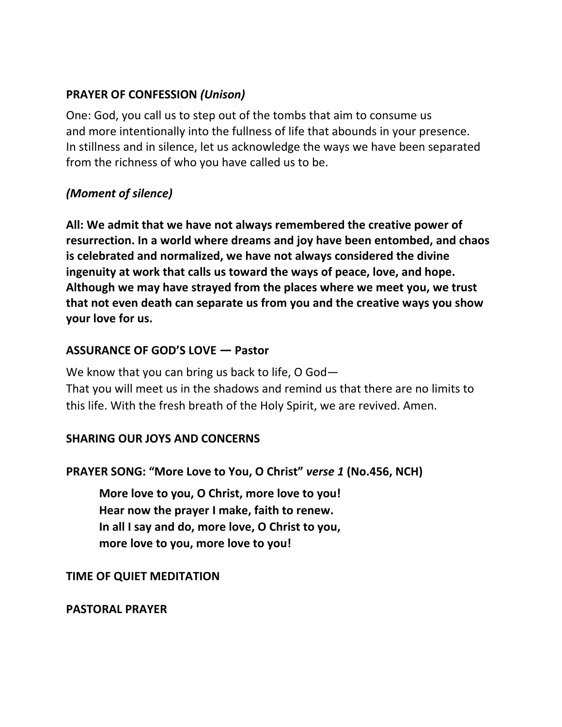# **PRAYER OF CONFESSION** *(Unison)*

One: God, you call us to step out of the tombs that aim to consume us and more intentionally into the fullness of life that abounds in your presence. In stillness and in silence, let us acknowledge the ways we have been separated from the richness of who you have called us to be.

# *(Moment of silence)*

**All: We admit that we have not always remembered the creative power of resurrection. In a world where dreams and joy have been entombed, and chaos is celebrated and normalized, we have not always considered the divine ingenuity at work that calls us toward the ways of peace, love, and hope. Although we may have strayed from the places where we meet you, we trust that not even death can separate us from you and the creative ways you show your love for us.**

# **ASSURANCE OF GOD'S LOVE** *―* **Pastor**

We know that you can bring us back to life, O God—

That you will meet us in the shadows and remind us that there are no limits to this life. With the fresh breath of the Holy Spirit, we are revived. Amen.

## **SHARING OUR JOYS AND CONCERNS**

## **PRAYER SONG: "More Love to You, O Christ"** *verse 1* **(No.456, NCH)**

**More love to you, O Christ, more love to you! Hear now the prayer I make, faith to renew. In all I say and do, more love, O Christ to you, more love to you, more love to you!**

## **TIME OF QUIET MEDITATION**

#### **PASTORAL PRAYER**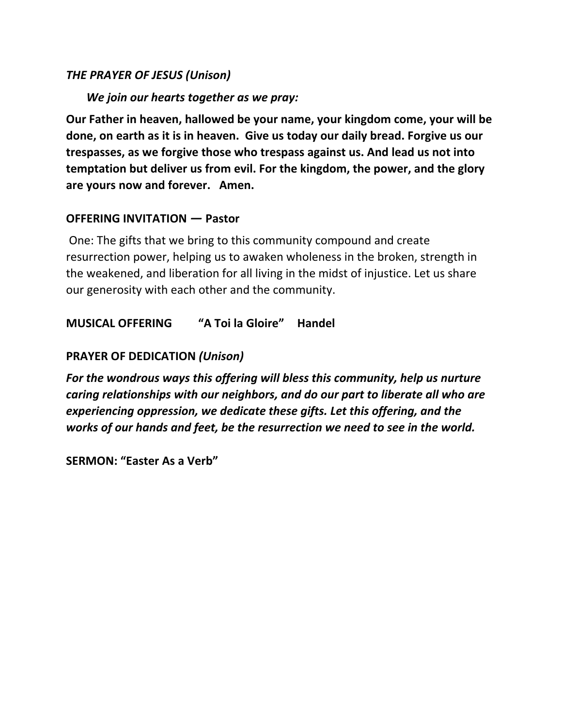## *THE PRAYER OF JESUS (Unison)*

#### *We join our hearts together as we pray:*

**Our Father in heaven, hallowed be your name, your kingdom come, your will be done, on earth as it is in heaven. Give us today our daily bread. Forgive us our trespasses, as we forgive those who trespass against us. And lead us not into temptation but deliver us from evil. For the kingdom, the power, and the glory are yours now and forever. Amen.**

#### **OFFERING INVITATION** *―* **Pastor**

One: The gifts that we bring to this community compound and create resurrection power, helping us to awaken wholeness in the broken, strength in the weakened, and liberation for all living in the midst of injustice. Let us share our generosity with each other and the community.

## **MUSICAL OFFERING "A Toi la Gloire" Handel**

## **PRAYER OF DEDICATION** *(Unison)*

*For the wondrous ways this offering will bless this community, help us nurture caring relationships with our neighbors, and do our part to liberate all who are experiencing oppression, we dedicate these gifts. Let this offering, and the works of our hands and feet, be the resurrection we need to see in the world.*

**SERMON: "Easter As a Verb"**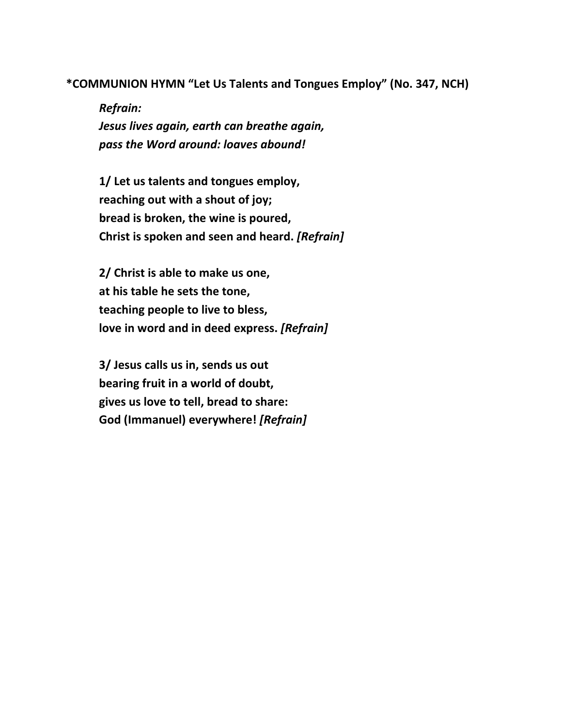**\*COMMUNION HYMN "Let Us Talents and Tongues Employ" (No. 347, NCH)**

*Refrain: Jesus lives again, earth can breathe again, pass the Word around: loaves abound!*

**1/ Let us talents and tongues employ, reaching out with a shout of joy; bread is broken, the wine is poured, Christ is spoken and seen and heard.** *[Refrain]*

**2/ Christ is able to make us one, at his table he sets the tone, teaching people to live to bless, love in word and in deed express.** *[Refrain]*

**3/ Jesus calls us in, sends us out bearing fruit in a world of doubt, gives us love to tell, bread to share: God (Immanuel) everywhere!** *[Refrain]*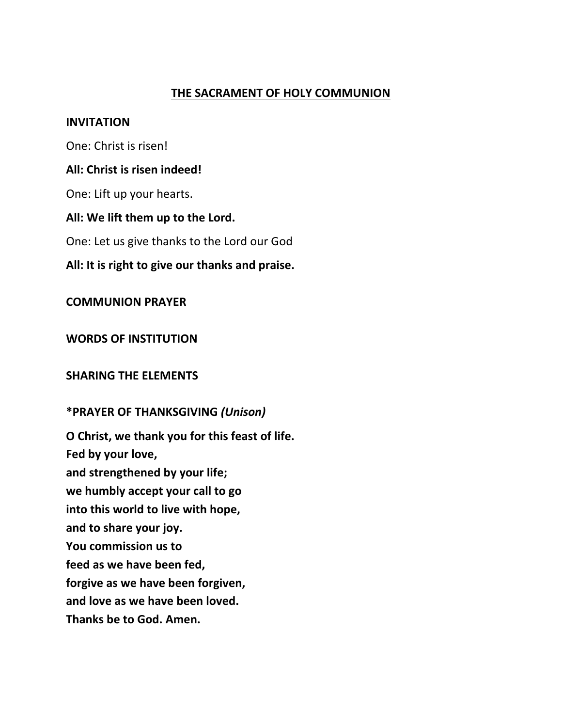#### **THE SACRAMENT OF HOLY COMMUNION**

#### **INVITATION**

One: Christ is risen!

#### **All: Christ is risen indeed!**

One: Lift up your hearts.

#### **All: We lift them up to the Lord.**

One: Let us give thanks to the Lord our God

## **All: It is right to give our thanks and praise.**

## **COMMUNION PRAYER**

**WORDS OF INSTITUTION** 

#### **SHARING THE ELEMENTS**

## **\*PRAYER OF THANKSGIVING** *(Unison)*

**O Christ, we thank you for this feast of life. Fed by your love, and strengthened by your life; we humbly accept your call to go into this world to live with hope, and to share your joy. You commission us to feed as we have been fed, forgive as we have been forgiven, and love as we have been loved. Thanks be to God. Amen.**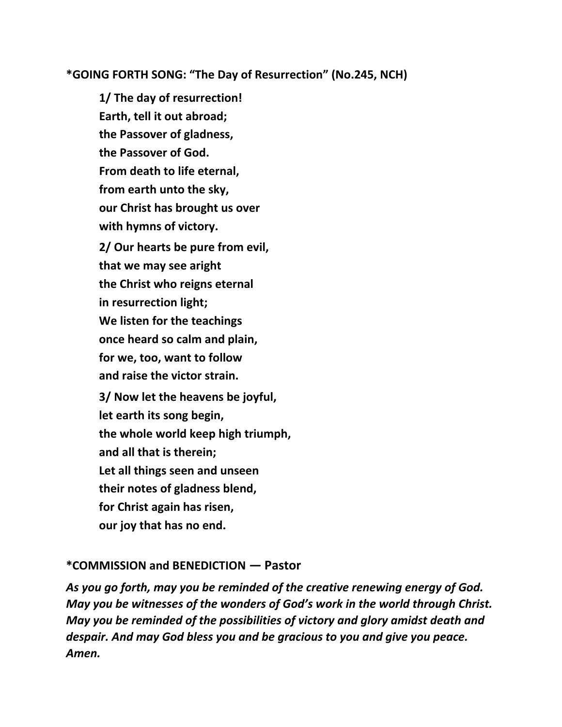## **\*GOING FORTH SONG: "The Day of Resurrection" (No.245, NCH)**

**1/ The day of resurrection! Earth, tell it out abroad; the Passover of gladness, the Passover of God. From death to life eternal, from earth unto the sky, our Christ has brought us over with hymns of victory. 2/ Our hearts be pure from evil, that we may see aright the Christ who reigns eternal in resurrection light; We listen for the teachings once heard so calm and plain, for we, too, want to follow and raise the victor strain. 3/ Now let the heavens be joyful, let earth its song begin, the whole world keep high triumph, and all that is therein; Let all things seen and unseen their notes of gladness blend, for Christ again has risen, our joy that has no end.**

#### **\*COMMISSION and BENEDICTION** *―* **Pastor**

*As you go forth, may you be reminded of the creative renewing energy of God. May you be witnesses of the wonders of God's work in the world through Christ. May you be reminded of the possibilities of victory and glory amidst death and despair. And may God bless you and be gracious to you and give you peace. Amen.*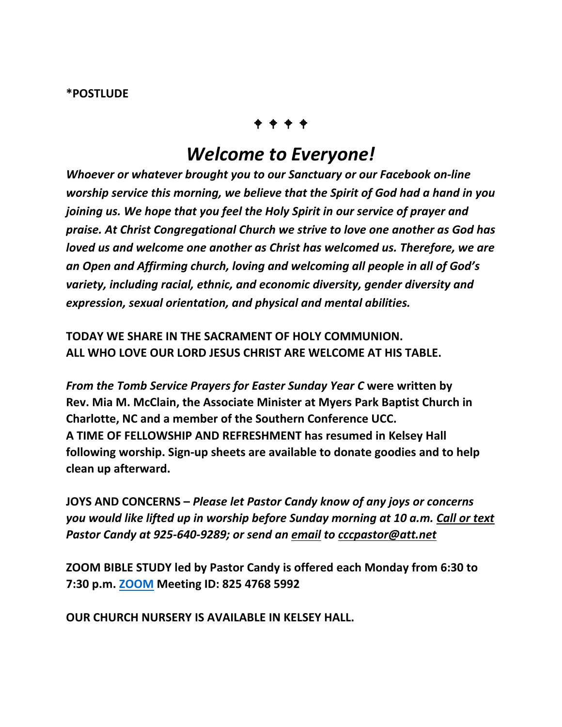#### **\*POSTLUDE**

# 

# *Welcome to Everyone!*

*Whoever or whatever brought you to our Sanctuary or our Facebook on-line worship service this morning, we believe that the Spirit of God had a hand in you joining us. We hope that you feel the Holy Spirit in our service of prayer and praise. At Christ Congregational Church we strive to love one another as God has loved us and welcome one another as Christ has welcomed us. Therefore, we are an Open and Affirming church, loving and welcoming all people in all of God's variety, including racial, ethnic, and economic diversity, gender diversity and expression, sexual orientation, and physical and mental abilities.*

**TODAY WE SHARE IN THE SACRAMENT OF HOLY COMMUNION. ALL WHO LOVE OUR LORD JESUS CHRIST ARE WELCOME AT HIS TABLE.**

*From the Tomb Service Prayers for Easter Sunday Year C* **were written by Rev. Mia M. McClain, the Associate Minister at Myers Park Baptist Church in Charlotte, NC and a member of the Southern Conference UCC. A TIME OF FELLOWSHIP AND REFRESHMENT has resumed in Kelsey Hall following worship. Sign-up sheets are available to donate goodies and to help clean up afterward.** 

**JOYS AND CONCERNS –** *Please let Pastor Candy know of any joys or concerns you would like lifted up in worship before Sunday morning at 10 a.m. Call or text Pastor Candy at 925-640-9289; or send an email to [cccpastor@att.net](mailto:cccpastor@att.net)*

**ZOOM BIBLE STUDY led by Pastor Candy is offered each Monday from 6:30 to 7:30 p.m. [ZOOM](https://us02web.zoom.us/J/82547685992) Meeting ID: 825 4768 5992**

**OUR CHURCH NURSERY IS AVAILABLE IN KELSEY HALL.**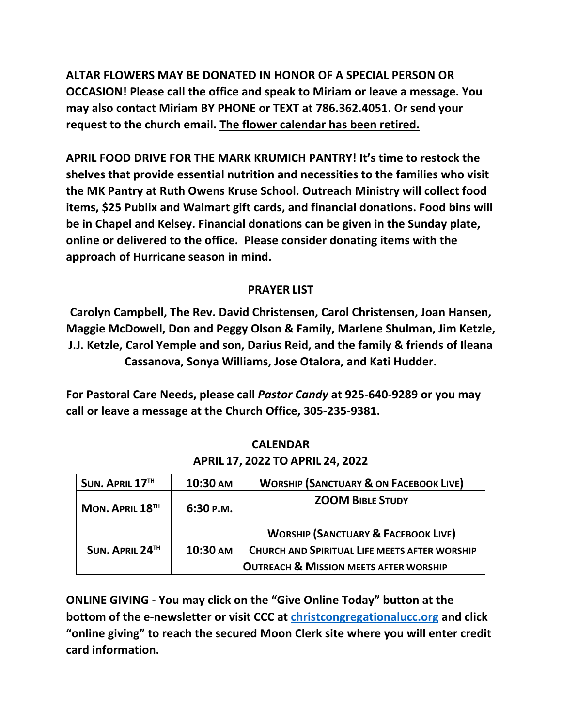**ALTAR FLOWERS MAY BE DONATED IN HONOR OF A SPECIAL PERSON OR OCCASION! Please call the office and speak to Miriam or leave a message. You may also contact Miriam BY PHONE or TEXT at 786.362.4051. Or send your request to the church email. The flower calendar has been retired.** 

**APRIL FOOD DRIVE FOR THE MARK KRUMICH PANTRY! It's time to restock the shelves that provide essential nutrition and necessities to the families who visit the MK Pantry at Ruth Owens Kruse School. Outreach Ministry will collect food items, \$25 Publix and Walmart gift cards, and financial donations. Food bins will be in Chapel and Kelsey. Financial donations can be given in the Sunday plate, online or delivered to the office. Please consider donating items with the approach of Hurricane season in mind.**

# **PRAYER LIST**

**Carolyn Campbell, The Rev. David Christensen, Carol Christensen, Joan Hansen, Maggie McDowell, Don and Peggy Olson & Family, Marlene Shulman, Jim Ketzle, J.J. Ketzle, Carol Yemple and son, Darius Reid, and the family & friends of Ileana Cassanova, Sonya Williams, Jose Otalora, and Kati Hudder.** 

**For Pastoral Care Needs, please call** *Pastor Candy* **at 925-640-9289 or you may call or leave a message at the Church Office, 305-235-9381.** 

|  | SUN. APRIL 17TH | 10:30 AM | <b>WORSHIP (SANCTUARY &amp; ON FACEBOOK LIVE)</b>    |
|--|-----------------|----------|------------------------------------------------------|
|  | MON. APRIL 18TH | 6:30P.M. | <b>ZOOM BIBLE STUDY</b>                              |
|  |                 |          | <b>WORSHIP (SANCTUARY &amp; FACEBOOK LIVE)</b>       |
|  | SUN. APRIL 24TH | 10:30 AM | <b>CHURCH AND SPIRITUAL LIFE MEETS AFTER WORSHIP</b> |
|  |                 |          | <b>OUTREACH &amp; MISSION MEETS AFTER WORSHIP</b>    |

**CALENDAR APRIL 17, 2022 TO APRIL 24, 2022** 

**ONLINE GIVING - You may click on the "Give Online Today" button at the bottom of the e-newsletter or visit CCC at [christcongregationalucc.org](https://christcongregationalucc.org/) and click "online giving" to reach the secured Moon Clerk site where you will enter credit card information.**